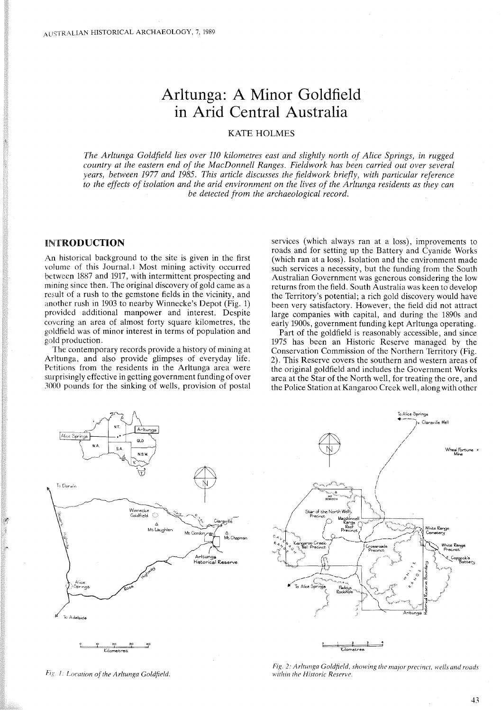# **Arltunga: A Minor Goldfield in Arid Central Australia**

# KATE HOLMES

*The Arltunga Goldfield lies over 110 kilometres east and slightly north of Alice Springs, in rugged country at the eastern end of the MacDonnell Ranges. Fieldwork has been carried out over several years, between* 1977 *and* 1985. *This article discusses the fieldwork briefly, with particular reference* to the effects of isolation and the arid environment on the lives of the Arltunga residents as they can *be detected from the archaeological record.*

## INTRODUCTION

An historical background to the site is given in the first volume of this Journal.1 Most mining activity occurred between 1887 and 1917, with intermittent prospecting and mining since then. The original discovery of gold came as a result of a rush to the gemstone fields in the vicinity, and another rush in 1903 to nearby Winnecke's Depot (Fig. 1) provided additional manpower and interest. Despite covering an area of almost forty square kilometres, the goldfield was of minor interest in terms of population and gold production.

The contemporary records provide a history of mining at Arltunga, and also provide glimpses of everyday life. Petitions from the residents in the Arltunga area were surprisingly effective in getting government funding of over 3000 pounds for the sinking of wells, provision of postal

services (which always ran at a loss), improvements to roads and for setting up the Battery and Cyanide Works (which ran at a loss). Isolation and the environment made such services a necessity, but the funding from the South Australian Government was generous considering the low returns from the field. South Australia was keen to develop the Territory's potential; a rich gold discovery would have been very satisfactory. However, the field did not attract large companies with capital, and during the 1890s and early 1900s, government funding kept Arltunga operating.

Part of the goldfield is reasonably accessible, and since 1975 has been an Historic Reserve managed by the Conservation Commission of the Northern Territory (Fig. 2). This Reserve covers the southern and western areas of the original goldfield and includes the Government Works area at the Star of the North well, for treating the ore, and the Police Station at Kangaroo Creek well, along with other



 $Fig. 1: Location of the Arttunga Goldfield.$ 

*Fig.* 2: *Arltunga Goldfield. showing the major precinct. wells and roads within the Historic Reserve.*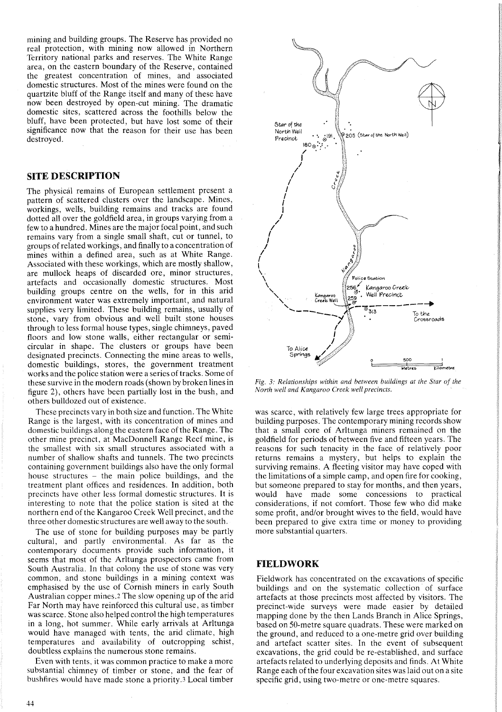mining and building groups. The Reserve has provided no real protection, with mining now allowed in Northern Territory national parks and reserves. The White Range area, on the eastern boundary of the Reserve, contained the greatest concentration of mines, and associated domestic structures. Most of the mines were found on the quartzite bluff of the Range itself and many of these have now been destroyed by open-cut mining. The dramatic domestic sites, scattered across the foothills below the bluff, have been protected, but have lost some of their significance now that the reason for their use has been destroyed.

## **SITE DESCRIPTION**

The physical remains of European settlement present a pattern of scattered clusters over the landscape. Mines, workings, wells, building remains and tracks are found dotted all over the goldfield area, in groups varying from a few to a hundred. Mines are the major focal point, and such remains vary from a single small shaft, cut or tunnel, to groups of related workings, and finally to a concentration of mines within a defined area, such as at White Range. Associated with these workings, which are mostly shallow, are mullock heaps of discarded ore, minor structures, artefacts and occasionally domestic structures. Most building groups centre on the wells, for in this arid environment water was extremely important, and natural supplies very limited. These building remains, usually of stone, vary from obvious and well built stone houses through to less formal house types, single chimneys, paved floors and low stone walls, either rectangular or semicircular in shape. The clusters or groups have been designated precincts. Connecting the mine areas to wells, domestic buildings, stores, the government treatment works and the police station were a series of tracks. Some of these survive in the modern roads (shown by broken lines in figure 2), others have been partially lost in the bush, and others bulldozed out of existence.

These precincts vary in both size and function. The White Range is the largest, with its concentration of mines and domestic buildings along the eastern face ofthe Range. The other mine precinct, at MacDonnell Range Reef mine, is the smallest with six small structures associated with a number of shallow shafts and tunnels. The two precincts containing government buildings also have the only formal house structures – the main police buildings, and the treatment plant offices and residences. In addition, both precincts have other less formal domestic structures. It is interesting to note that the police station is sited at the northern end of the Kangaroo Creek Well precinct, and the three other domestic structures are well away to the south.

The use of stone for building purposes may be partly cultural, and partly environmental. As far as the contemporary documents provide such information, it seems that most of the Arltunga prospectors came from South Australia. In that colony the use of stone was very common, and stone buildings in a mining context was emphasised by the use of Cornish miners in early South Australian copper mines.2 The slow opening up of the arid Far North may have reinforced this cultural use, as timber was scarce. Stone also helped control the high temperatures in a long, hot summer. While early arrivals at Arltunga would have managed with tents, the arid climate, high temperatures and availability of outcropping schist, doubtless explains the numerous stone remains.

Even with tents, it was common practice to make a more substantial chimney of timber or stone, and the fear of bushfires would have made stone a priority.3 Local timber



*Fig.* 3: *Relationships within and between buildings at the Star of the North well and Kangaroo Creek well precincts.*

was scarce, with relatively few large trees appropriate for building purposes. The contemporary mining records show that a small core of Arltunga miners remained on the goldfield for periods of between five and fifteen years. The reasons for such tenacity in the face of relatively poor returns remains a mystery, but helps to explain the surviving remains. A fleeting visitor may have coped with the limitations of a simple camp, and open fire for cooking, but someone prepared to stay for months, and then years, would have made some concessions to practical considerations, if not comfort. Those few who did make some profit, and/or brought wives to the field, would have been prepared to give extra time or money to providing more substantial quarters.

# **FIELDWORK**

Fieldwork has concentrated on the excavations of specific buildings and on the systematic collection of surface artefacts at those precincts most affected by visitors. The precinct-wide surveys were made easier by detailed mapping done by the then Lands Branch in Alice Springs, based on 50-metre square quadrats. These were marked on the ground, and reduced to a one-metre grid over building and artefact scatter sites. In the event of subsequent excavations, the grid could be re-established, and surface artefacts related to underlying deposits and finds. At White Range each of the four excavation sites was laid out on a site specific grid, using two-metre or one-metre squares.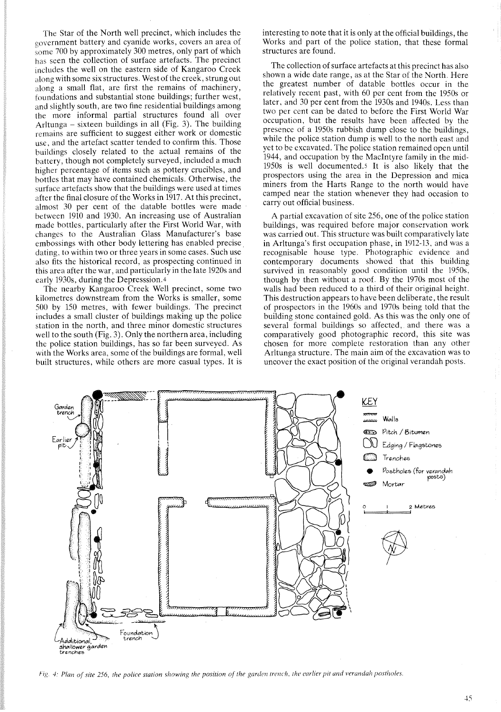The Star of the North well precinct, which includes the government battery and cyanide works, covers an area of some 700 by approximately 300 metres, only part of which has seen the collection of surface artefacts. The precinct includes the well on the eastern side of Kangaroo Creek along with some six structures. West of the creek, strung out along a small flat, are first the remains of machinery, foundations and substantial stone buildings; further west, and slightly south, are two fine residential buildings among the more informal partial structures found all over Arltunga - sixteen buildings in all (Fig. 3). The building remains are sufficient to suggest either work or domestic use, and the artefact scatter tended to confirm this. Those buildings closely related to the actual remains of the battery, though not completely surveyed, included a much higher percentage of items such as pottery crucibles, and bottles that may have contained chemicals. Otherwise, the surface artefacts show that the buildings were used at times after the final closure of the Works in 1917. At this precinct, almost 30 per cent of the datable bottles were made between 1910 and 1930. An increasing use of Australian made bottles, particularly after the First World War, with changes to the Australian Glass Manufacturer's base embossings with other body lettering has enabled precise. dating, to within two or three years in some cases. Such use also fits the historical record, as prospecting continued in this area after the war, and particularly in the late 1920s and early 1930s, during the Depresssion.4

The nearby Kangaroo Creek Well precinct, some two kilometres downstream from the Works is smaller, some 500 by ISO metres, with fewer buildings. The precinct includes a small cluster of buildings making up the police station in the north, and three minor domestic structures well to the south (Fig. 3). Only the northern area, including the police station buildings, has so far been surveyed. As with the Works area, some of the buildings are formal, well built structures, while others are more casual types. It is interesting to note that it is only at the official buildings, the Works and part of the police station, that these formal structures are found.

The collection of surface artefacts at this precinct has also shown a wide date range, as at the Star of the North. Here the greatest number of datable bottles occur in the relatively recent past, with 60 per cent from the 1950s or later, and 30 per cent from the 1930s and 1940s. Less than two per cent can be dated to before the First World War occupation, but the results have been affected by the presence of a 1950s rubbish dump close to the buildings, while the police station dump is well to the north east and yet to be excavated. The police station remained open until 1944, and occupation by the MacIntyre family in the mid-1950s is well documented.s It is also likely that the prospectors using the area in the Depression and mica miners from the Harts Range to the north would have camped near the station whenever they had occasion to carry out official business.

A partial excavation of site 256, one of the police station buildings, was required before major conservation work was carried out. This structure was built comparatively late in Arltunga's first occupation phase, in 1912-13, and was a recognisable house type. Photographic evidence and contemporary documents showed that this building survived in reasonably good condition until the 1950s, though by then without a roof. By the 1970s most of the walls had been reduced to a third of their original height. This destruction appears to have been deliberate, the result of prospectors in the 1960s and 1970s being told that the building stone contained gold. As this was the only one of several formal buildings so affected, and there was a comparatively good photographic record, this site was chosen for more complete restoration than any other Arltunga structure. The main aim of the excavation was to uncover the exact position of the original verandah posts.



Fig. 4: Plan of site 256, the police station showing the position of the garden trench, the earlier pit and verandah postholes.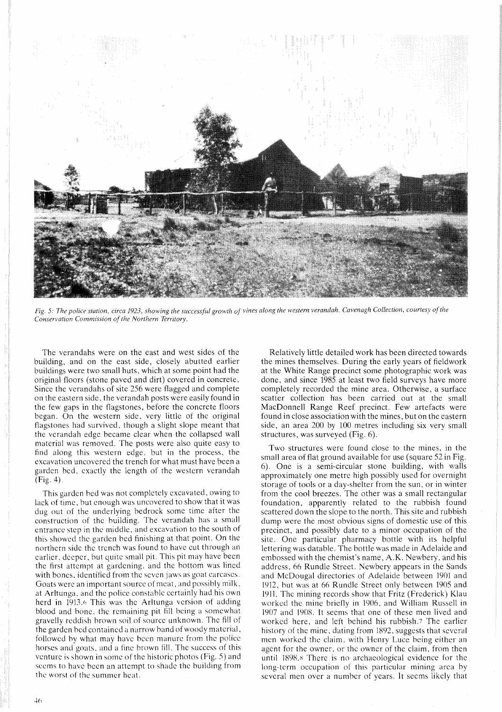

Fig. 5: The police station, circa 1923, showing the successful growth of vines along the western verandah. Cavenagh Collection, courtesy of the *Conservation Commission of the Northern Territory.*

The verandahs were on the east and west sides of the building, and on the east side, closely abutted earlier buildings were two small huts, which at some point had the original floors (stone paved and dirt) covered in concrete. Since the verandahs of site 256 were flagged and complete on the eastern side, the verandah posts were easily found in the few gaps in the flagstones, before the concrete floors began. On the western side, very little of the original flagstones had survived, though a slight slope meant that the verandah edge became clear when the collapsed wall material was removed. The posts were also quite easy to find along this western edge, but in the process, the excavation uncovered the trench for what must have been a garden bed, exactly the length of the western verandah (Fig. 4).

This garden bed was not completely excavated, owing to lack of time, but enough was uncovered to show that it was dug out of the underlying bedrock some time after the construction of the building. The verandah has a small entrance step in the middle, and excavation to the south of this showed the garden bed finishing at that point. On the northern side the trench was found to have cut through an earlier, deeper, but quite small pit. This pit may have been the first attempt at gardening, and the bottom was lined with bones, identified from the seven jaws as goat carcases. Goats were an important source of meat, and possibly milk, at Arltunga, and the police constable certainly had his own herd in 1913.6 This was the Arltunga version of adding blood and bone, the remaining pit fill being a somewhat gravelly reddish brown soil of source unknown. The fill of the garden bed contained a narrow band of woody material, followed by what may have been manure from the police horses and goats, and a fine brown fill. The success of this venture is shown in some of the historic photos (Fig. 5) and seems to have been an attempt to shade the building from the worst of the summer heat.

Relatively little detailed work has been directed towards the mines themselves. During the early years of fieldwork at the White Range precinct some photographic work was done, and since 1985 at least two field surveys have more completely recorded the mine area. Otherwise, a surface scatter collection has been carried out at the small MacDonnell Range Reef precinct. Few artefacts were found in close association with the mines, but on the eastern side, an area 200 by 100 metres including six very small structures, was surveyed (Fig. 6).

Two structures were found close to the mines, in the small area of flat ground available for use (square 52 in Fig. 6). One is a semi-circular stone building, with walls approximately one metre high possibly used for overnight storage of tools or a day-shelter from the sun, or in winter from the cool breezes. The other was a small rectangular foundation, apparently related to the rubbish found scattered down the slope to the north. This site and rubbish dump were the most obvious signs of domestic use of this precinct, and possibly date to a minor occupation of the site. One particular pharmacy bottle with its helpful lettering was datable. The bottle was made in Adelaide and embossed with the chemist's name, A.K. Newbery, and his address, 66 Rundle Street. Newbery appears in the Sands and McDougal directories of Adelaide between 1901 and 1912, but was at 66 Rundle Street only between 1905 and 1911. The mining records show that Fritz (Frederick) Klau worked the mine briefly in 1906, and William Russell in 1907 and 1908. It seems that one of these men lived and worked here, and left behind his rubbish.7 The earlier history of the mine, dating from 1892, suggests that several men worked the claim, with Henry Luce being either an agent for the owner, or the owner of the claim, from then until 1898.s There is no archaeological evidence for the long-term occupation of this particular mining area by several men over a number of years. It seems likely that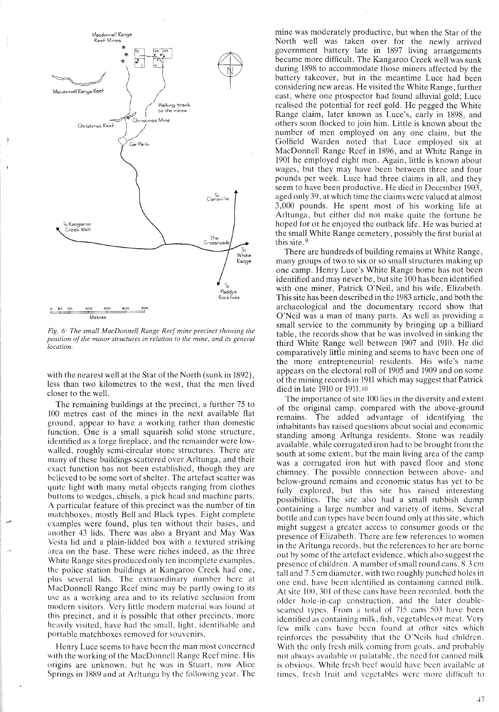

*Fig.* 6: *The small MacDonnell Range Reef mine precinct showing the position of the minor structures in relation to the mine, and its general location.*

with the nearest well at the Star of the North (sunk in 1892), less than two kilometres to the west, that the men lived closer to the well.

The remaining buildings at the precinct, a further 75 to 100 metres east of the mines in the next available flat ground, appear to have a working rather than domestic function. One is a small squarish solid stone structure, identified as a forge fireplace, and the remainder were lowwalled, roughly semi-circular stone structures. There are many of these buildings scattered over Arltunga, and their exact function has not been established, though they are believed to be some sort of shelter. The artefact scatter was quite light with many metal objects ranging from clothes buttons to wedges, chisels, a pick head and machine parts. A particular feature of this precinct was the number of tin matchboxes, mostly Bell and Black types. Eight complete examples were found, plus ten without their bases, and another 43 lids. There was also a Bryant and May Wax Vesta lid and a plain-lidded box with a textured striking area on the base. These were riches indeed, as the three White Range sites produced only ten incomplete examples, the police station buildings at Kangaroo Creek had one, plus several lids. The extraordinary number here at MacDonnell Range Reef mine may be partly owing to its use as a working area and to its relative seclusion from modern visitors. Very little modern material was found at this precinct, and it is possible that other precincts, more heavily visited, have had the small, light, identifiable and portable matchboxes removed for souvenirs.

Henry Luce seems to have been the man most concerned with the working of the MacDonnell Range Reef mine. His origins are unknown, but he was in Stuart, now Alice Springs in 1889 and at Arltunga by the following year. The mine was moderately productive, but when the Star of the North well was taken over for the newly arrived government battery late in 1897 living arrangements became more difficult. The Kangaroo Creek well was sunk during 1898 to accommodate those miners affected by the battery takeover, but in the meantime Luce had been considering new areas, He visited the White Range, further east, where one prospector had found alluvial gold; Luce realised the potential for reef gold. He pegged the White Range claim, later known as Luce's, early in 1898, and others soon flocked to join him, Little is known about the number of men employed on anyone claim, but the Golfield Warden noted that Luce employed six at MacDonnell Range Reef in 1896, and at White Range in 1901 he employed eight men. Again, little is known about wages, but they may have been between three and four pounds per week, Luce had three claims in all, and they seem to have been productive. He died in December 1903, aged only 39, at which time the claims were valued at almost 3,000 pounds. He spent most of his working life at Arltunga, but either did not make quite the fortune he hoped for or he enjoyed the outback life, He was buried at the small White Range cemetery, possibly the first burial at this site.9

There are hundreds of building remains at White Range, many groups of two to six or so small structures making up one camp, Henry Luce's White Range home has not been identified and may never be, but site 100 has been identified with one miner, Patrick O'Neil, and his wife, Elizabeth. This site has been described in the 1983 article, and both the archaeological and the documentary record show that O'Neil was a man of many parts. As well as providing a small service to the community by bringing up a billiard table, the records show that he was involved in sinking the third'White Range well between 1907 and 1910. He did comparatively little mining and seems to have been one of the more entrepreneurial residents. His wife's name appears on the electoral roll of 1905 and 1909 and on some of the mining records in 1911 which may suggest that Patnck died in late 1910 or 1911.<sup>10</sup>

The importance of site 100 lies in the diversity and extent of the original camp, compared with the above-ground remains. The added advantage of identifying the inhabitants has raised questions about social and economic standing among Arltunga residents. Stone was readily available, while corrugated iron had to be brought from the south at some extent, but the main living area of the camp was a corrugated iron hut with paved floor and stone chimney. The possible connection between above- and below-ground remains and economic status has yet to be fully explored, but this site has raised interesting possibilities. The site also had a small rubbish dump containing a large number and variety of items. Several bottle and can types have been found only at this site, which might suggest a greater access to consumer goods or the presence of Elizabeth, There are few references to women in the Arltunga records, but the references to her are borne out by some of the artefact evidence, which also suggest the presence of children. A number of small round cans, 8.3 cm tall and 7.5 cm diameter, with two roughly punched holes in one end, have been identified as containing canned milk. At site  $100$ , 301 of these cans have been recorded, both the older hole-in-cap construction, and the later doubleseamed types. From a total of 715 cans 503 have been identified as containing milk, fish, vegetables or meat. Very few milk cans have been found at other sites which reinforces the possibility that the O'Neils had children. With the only fresh milk coming from goats, and probably not always available or palatable, the need for canned milk is obvious. While fresh beef would have been available at times, fresh fruit and vegetables were more difficult to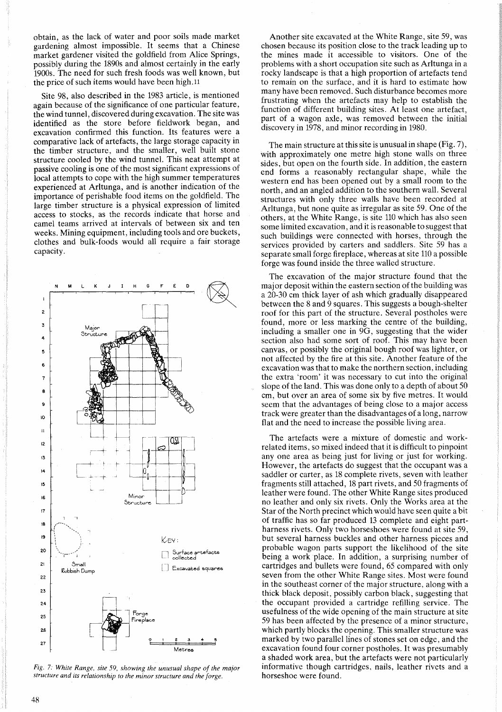obtain, as the lack of water and poor soils made market gardening almost impossible. It seems that a Chinese market gardener visited the goldfield from Alice Springs, possibly during the 1890s and almost certainly in the early 1900s. The need for such fresh foods was well known, but the price of such items would have been high. <sup>11</sup>

Site 98, also described in the 1983 article, is mentioned again because of the significance of one particular feature, the wind tunnel, discovered during excavation. The site was identified as the store before fieldwork began, and excavation confirmed this function. Its features were a comparative lack of artefacts, the large storage capacity in the timber structure, and the smaller, well built stone structure cooled by the wind tunnel. This neat attempt at passive cooling is one of the most significant expressions of local attempts to cope with the high summer temperatures experienced at Arltunga, and is another indication of the importance of perishable food items on the goldfield. The large timber structure is a physical expression of limited access to stocks, as the records indicate that horse and camel teams arrived at intervals of between six and ten weeks. Mining equipment, including tools and ore buckets, clothes and bulk-foods would all require a fair storage capacity.



*Fig.* 7: *White Range. site* 59, *showing the unusual shape of the major structure and its relationship to the minor structure and the forge.*

Another site excavated at the White Range, site 59, was chosen because its position close to the track leading up to the mines made it accessible to visitors. One of the problems with a short occupation site such as Arltunga in a rocky landscape is that a high proportion of artefacts tend to remain on the surface, and it is hard to estimate how many have been removed. Such disturbance becomes more frustrating when the artefacts may help to establish the function of different building sites. At least one artefact, part of a wagon axle, was removed between the initial discovery in 1978, and minor recording in 1980.

The main structure at this site is unusual in shape (Fig. 7), with approximately one metre high stone walls on three sides, but open on the fourth side. In addition, the eastern end forms a reasonably rectangular shape, while the western end has been opened out by a small room to the north, and an angled addition to the southern wall. Several structures with only three walls have been recorded at Arltunga, but none quite as irregular as site 59. One of the others, at the White Range, is site 110 which has also seen some limited excavation, and it is reasonable to suggest that such buildings were connected with horses, through the services provided by carters and saddlers. Site 59 has a separate small forge fireplace, whereas at site 110 a possible forge was found inside the three walled structure.

The excavation of the major structure found that the major deposit within the eastern section of the building was a 20-30 cm thick layer of ash which gradually disappeared between the 8 and 9 squares. This suggests a bough-shelter roof for this part of the structure. Several postholes were found, more or less marking the centre of the building, including a smaller one in 9G, suggesting that the wider section also had some sort of roof. This may have been canvas, or possibly the original bough roof was lighter, or not affected by the fire at this site. Another feature of the excavation was that to make the northern section, including the extra 'room' it was necessary to cut into the original slope of the land. This was done only to a depth of about  $50$ cm, but over an area of some six by five metres. It would seem that the advantages of being close to a major access track were greater than the disadvantages of a long, narrow flat and the need to increase the possible living area.

The artefacts were a mixture of domestic and workrelated items, so mixed indeed thatit is difficult to pinpoint any one area as being just for living or just for working. However, the artefacts do suggest that the occupant was a saddler or carter, as 18 complete rivets, seven with leather fragments still attached, 18 part rivets, and 50 fragments of leather were found. The other White Range sites produced no leather and only six rivets. Only the Works area at the Star of the North precinct which would have seen quite a bit of traffic has so far produced 13 complete and eight partharness rivets. Only two horseshoes were found at site 59, but several harness buckles and other harness pieces and probable wagon parts support the likelihood of the site being a work place. In addition, a surprising number of cartridges and bullets were found, 65 compared with only seven from the other White Range sites. Most were found in the southeast corner of the major structure, along with a thick black deposit, possibly carbon black, suggesting that the occupant provided a cartridge refilling service. The usefulness of the wide opening of the main structure at site 59 has been affected by the presence of a minor structure, which partly blocks the opening. This smaller structure was marked by two parallel lines of stones set on edge, and the excavation found four corner postholes. It was presumably a shaded work area, but the artefacts were not particularly informative though cartridges, nails, leather rivets and a horseshoe were found.